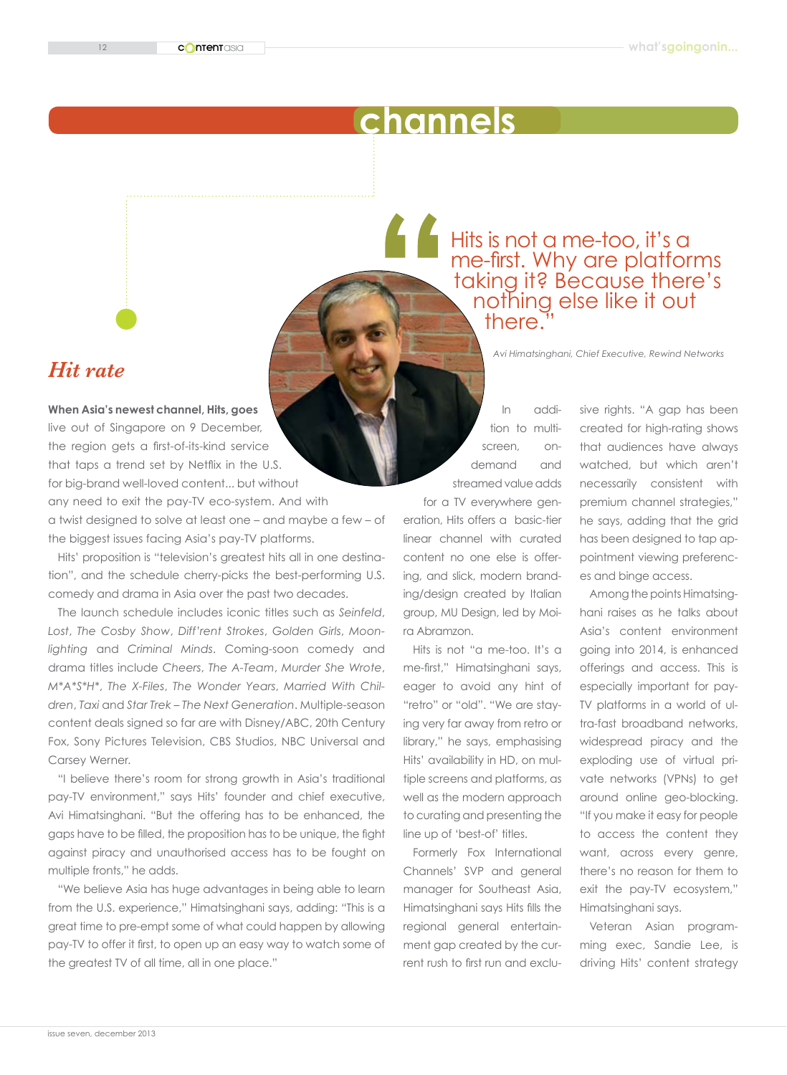## **channels**

## *Hit rate*

**When Asia's newest channel, Hits, goes**  live out of Singapore on 9 December, the region gets a first-of-its-kind service that taps a trend set by Netflix in the U.S. for big-brand well-loved content... but without any need to exit the pay-TV eco-system. And with a twist designed to solve at least one – and maybe a few – of the biggest issues facing Asia's pay-TV platforms.

Hits' proposition is "television's greatest hits all in one destination", and the schedule cherry-picks the best-performing U.S. comedy and drama in Asia over the past two decades.

The launch schedule includes iconic titles such as *Seinfeld*, *Lost*, *The Cosby Show*, *Diff'rent Strokes*, *Golden Girls*, *Moonlighting* and *Criminal Minds*. Coming-soon comedy and drama titles include *Cheers*, *The A-Team*, *Murder She Wrote*, *M\*A\*S\*H\**, *The X-Files*, *The Wonder Years*, *Married With Children*, *Taxi* and *Star Trek – The Next Generation*. Multiple-season content deals signed so far are with Disney/ABC, 20th Century Fox, Sony Pictures Television, CBS Studios, NBC Universal and Carsey Werner.

"I believe there's room for strong growth in Asia's traditional pay-TV environment," says Hits' founder and chief executive, Avi Himatsinghani. "But the offering has to be enhanced, the gaps have to be filled, the proposition has to be unique, the fight against piracy and unauthorised access has to be fought on multiple fronts," he adds.

"We believe Asia has huge advantages in being able to learn from the U.S. experience," Himatsinghani says, adding: "This is a great time to pre-empt some of what could happen by allowing pay-TV to offer it first, to open up an easy way to watch some of the greatest TV of all time, all in one place."

Hits is not a me-too, it's a me-first. Why are platforms taking it? Because there's nothing else like it out there.

*Avi Himatsinghani, Chief Executive, Rewind Networks*

In addition to multiscreen, ondemand and streamed value adds for a TV everywhere generation, Hits offers a basic-tier linear channel with curated content no one else is offering, and slick, modern branding/design created by Italian group, MU Design, led by Moira Abramzon.

Hits is not "a me-too. It's a me-first," Himatsinghani says, eager to avoid any hint of "retro" or "old". "We are staying very far away from retro or library," he says, emphasising Hits' availability in HD, on multiple screens and platforms, as well as the modern approach to curating and presenting the line up of 'best-of' titles.

Formerly Fox International Channels' SVP and general manager for Southeast Asia, Himatsinghani says Hits fills the regional general entertainment gap created by the current rush to first run and exclusive rights. "A gap has been created for high-rating shows that audiences have always watched, but which aren't necessarily consistent with premium channel strategies," he says, adding that the grid has been designed to tap appointment viewing preferences and binge access.

Among the points Himatsinghani raises as he talks about Asia's content environment going into 2014, is enhanced offerings and access. This is especially important for pay-TV platforms in a world of ultra-fast broadband networks, widespread piracy and the exploding use of virtual private networks (VPNs) to get around online geo-blocking. "If you make it easy for people to access the content they want, across every genre, there's no reason for them to exit the pay-TV ecosystem," Himatsinghani says.

Veteran Asian programming exec, Sandie Lee, is driving Hits' content strategy